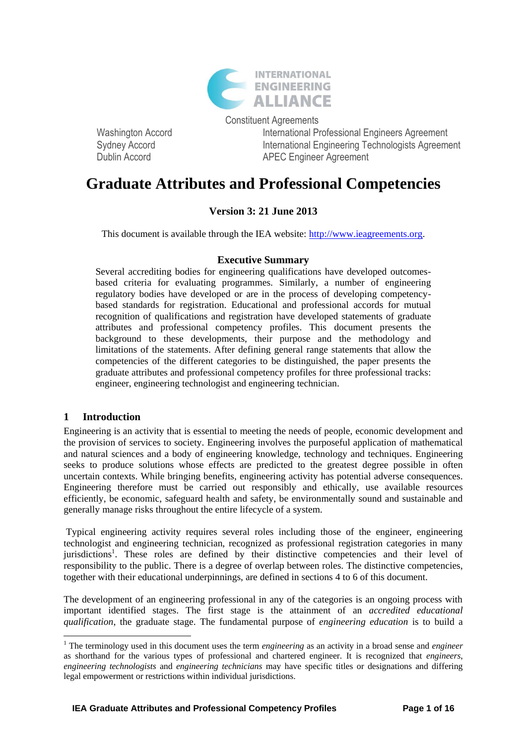

Constituent Agreements Washington Accord **International Professional Engineers Agreement** Sydney Accord **International Engineering Technologists Agreement** Dublin Accord **APEC** Engineer Agreement

# **Graduate Attributes and Professional Competencies**

# **Version 3: 21 June 2013**

This document is available through the IEA website: [http://www.ieagreements.org.](http://www.ieagreements.org/)

#### **Executive Summary**

Several accrediting bodies for engineering qualifications have developed outcomesbased criteria for evaluating programmes. Similarly, a number of engineering regulatory bodies have developed or are in the process of developing competencybased standards for registration. Educational and professional accords for mutual recognition of qualifications and registration have developed statements of graduate attributes and professional competency profiles. This document presents the background to these developments, their purpose and the methodology and limitations of the statements. After defining general range statements that allow the competencies of the different categories to be distinguished, the paper presents the graduate attributes and professional competency profiles for three professional tracks: engineer, engineering technologist and engineering technician.

#### **1 Introduction**

1

Engineering is an activity that is essential to meeting the needs of people, economic development and the provision of services to society. Engineering involves the purposeful application of mathematical and natural sciences and a body of engineering knowledge, technology and techniques. Engineering seeks to produce solutions whose effects are predicted to the greatest degree possible in often uncertain contexts. While bringing benefits, engineering activity has potential adverse consequences. Engineering therefore must be carried out responsibly and ethically, use available resources efficiently, be economic, safeguard health and safety, be environmentally sound and sustainable and generally manage risks throughout the entire lifecycle of a system.

Typical engineering activity requires several roles including those of the engineer, engineering technologist and engineering technician, recognized as professional registration categories in many jurisdictions<sup>1</sup>. These roles are defined by their distinctive competencies and their level of responsibility to the public. There is a degree of overlap between roles. The distinctive competencies, together with their educational underpinnings, are defined in sections 4 to 6 of this document.

The development of an engineering professional in any of the categories is an ongoing process with important identified stages. The first stage is the attainment of an *accredited educational qualification*, the graduate stage. The fundamental purpose of *engineering education* is to build a

<sup>1</sup> The terminology used in this document uses the term *engineering* as an activity in a broad sense and *engineer*  as shorthand for the various types of professional and chartered engineer. It is recognized that *engineers*, *engineering technologists* and *engineering technicians* may have specific titles or designations and differing legal empowerment or restrictions within individual jurisdictions.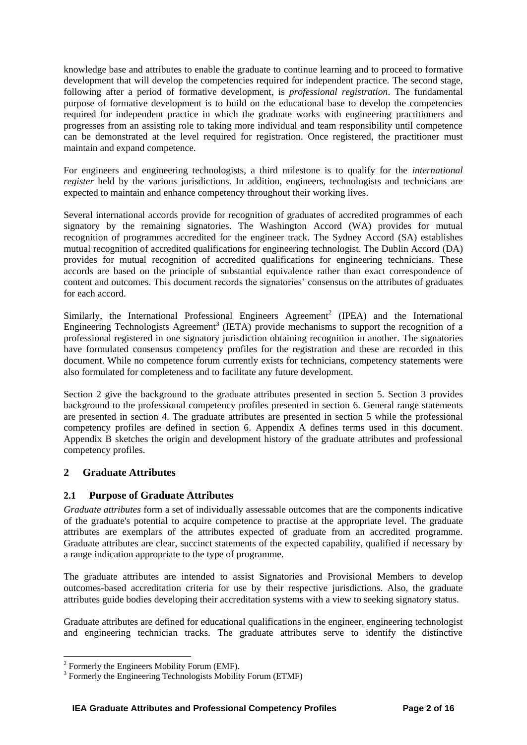knowledge base and attributes to enable the graduate to continue learning and to proceed to formative development that will develop the competencies required for independent practice. The second stage, following after a period of formative development, is *professional registration*. The fundamental purpose of formative development is to build on the educational base to develop the competencies required for independent practice in which the graduate works with engineering practitioners and progresses from an assisting role to taking more individual and team responsibility until competence can be demonstrated at the level required for registration. Once registered, the practitioner must maintain and expand competence.

For engineers and engineering technologists, a third milestone is to qualify for the *international register* held by the various jurisdictions. In addition, engineers, technologists and technicians are expected to maintain and enhance competency throughout their working lives.

Several international accords provide for recognition of graduates of accredited programmes of each signatory by the remaining signatories. The Washington Accord (WA) provides for mutual recognition of programmes accredited for the engineer track. The Sydney Accord (SA) establishes mutual recognition of accredited qualifications for engineering technologist. The Dublin Accord (DA) provides for mutual recognition of accredited qualifications for engineering technicians. These accords are based on the principle of substantial equivalence rather than exact correspondence of content and outcomes. This document records the signatories' consensus on the attributes of graduates for each accord.

Similarly, the International Professional Engineers Agreement<sup>2</sup> (IPEA) and the International Engineering Technologists Agreement<sup>3</sup> (IETA) provide mechanisms to support the recognition of a professional registered in one signatory jurisdiction obtaining recognition in another. The signatories have formulated consensus competency profiles for the registration and these are recorded in this document. While no competence forum currently exists for technicians, competency statements were also formulated for completeness and to facilitate any future development.

Section 2 give the background to the graduate attributes presented in section 5. Section 3 provides background to the professional competency profiles presented in section 6. General range statements are presented in section 4. The graduate attributes are presented in section 5 while the professional competency profiles are defined in section 6. Appendix A defines terms used in this document. Appendix B sketches the origin and development history of the graduate attributes and professional competency profiles.

### **2 Graduate Attributes**

#### **2.1 Purpose of Graduate Attributes**

*Graduate attributes* form a set of individually assessable outcomes that are the components indicative of the graduate's potential to acquire competence to practise at the appropriate level. The graduate attributes are exemplars of the attributes expected of graduate from an accredited programme. Graduate attributes are clear, succinct statements of the expected capability, qualified if necessary by a range indication appropriate to the type of programme.

The graduate attributes are intended to assist Signatories and Provisional Members to develop outcomes-based accreditation criteria for use by their respective jurisdictions. Also, the graduate attributes guide bodies developing their accreditation systems with a view to seeking signatory status.

Graduate attributes are defined for educational qualifications in the engineer, engineering technologist and engineering technician tracks. The graduate attributes serve to identify the distinctive

 2 Formerly the Engineers Mobility Forum (EMF).

<sup>&</sup>lt;sup>3</sup> Formerly the Engineering Technologists Mobility Forum (ETMF)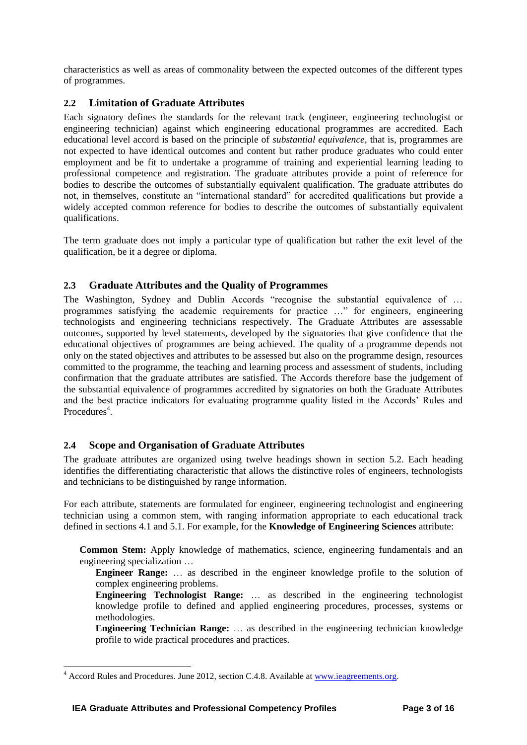characteristics as well as areas of commonality between the expected outcomes of the different types of programmes.

#### **2.2 Limitation of Graduate Attributes**

Each signatory defines the standards for the relevant track (engineer, engineering technologist or engineering technician) against which engineering educational programmes are accredited. Each educational level accord is based on the principle of *substantial equivalence*, that is, programmes are not expected to have identical outcomes and content but rather produce graduates who could enter employment and be fit to undertake a programme of training and experiential learning leading to professional competence and registration. The graduate attributes provide a point of reference for bodies to describe the outcomes of substantially equivalent qualification. The graduate attributes do not, in themselves, constitute an "international standard" for accredited qualifications but provide a widely accepted common reference for bodies to describe the outcomes of substantially equivalent qualifications.

The term graduate does not imply a particular type of qualification but rather the exit level of the qualification, be it a degree or diploma.

#### **2.3 Graduate Attributes and the Quality of Programmes**

The Washington, Sydney and Dublin Accords "recognise the substantial equivalence of ... programmes satisfying the academic requirements for practice …" for engineers, engineering technologists and engineering technicians respectively. The Graduate Attributes are assessable outcomes, supported by level statements, developed by the signatories that give confidence that the educational objectives of programmes are being achieved. The quality of a programme depends not only on the stated objectives and attributes to be assessed but also on the programme design, resources committed to the programme, the teaching and learning process and assessment of students, including confirmation that the graduate attributes are satisfied. The Accords therefore base the judgement of the substantial equivalence of programmes accredited by signatories on both the Graduate Attributes and the best practice indicators for evaluating programme quality listed in the Accords' Rules and Procedures<sup>4</sup>.

#### **2.4 Scope and Organisation of Graduate Attributes**

The graduate attributes are organized using twelve headings shown in section 5.2. Each heading identifies the differentiating characteristic that allows the distinctive roles of engineers, technologists and technicians to be distinguished by range information.

For each attribute, statements are formulated for engineer, engineering technologist and engineering technician using a common stem, with ranging information appropriate to each educational track defined in sections 4.1 and 5.1. For example, for the **Knowledge of Engineering Sciences** attribute:

**Common Stem:** Apply knowledge of mathematics, science, engineering fundamentals and an engineering specialization …

**Engineer Range:** … as described in the engineer knowledge profile to the solution of complex engineering problems.

**Engineering Technologist Range:** … as described in the engineering technologist knowledge profile to defined and applied engineering procedures, processes, systems or methodologies.

**Engineering Technician Range:** … as described in the engineering technician knowledge profile to wide practical procedures and practices.

1

<sup>&</sup>lt;sup>4</sup> Accord Rules and Procedures. June 2012, section C.4.8. Available a[t www.ieagreements.org.](http://www.ieagreements.org/)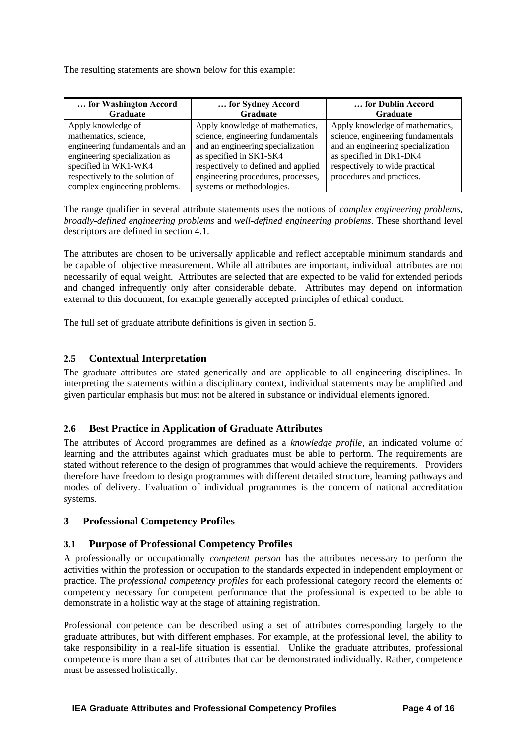The resulting statements are shown below for this example:

| for Washington Accord<br><b>Graduate</b> | for Sydney Accord<br>Graduate       | for Dublin Accord<br><b>Graduate</b> |
|------------------------------------------|-------------------------------------|--------------------------------------|
| Apply knowledge of                       | Apply knowledge of mathematics,     | Apply knowledge of mathematics,      |
| mathematics, science,                    | science, engineering fundamentals   | science, engineering fundamentals    |
| engineering fundamentals and an          | and an engineering specialization   | and an engineering specialization    |
| engineering specialization as            | as specified in SK1-SK4             | as specified in DK1-DK4              |
| specified in WK1-WK4                     | respectively to defined and applied | respectively to wide practical       |
| respectively to the solution of          | engineering procedures, processes,  | procedures and practices.            |
| complex engineering problems.            | systems or methodologies.           |                                      |

The range qualifier in several attribute statements uses the notions of *complex engineering problems*, *broadly-defined engineering problems* and *well-defined engineering problems*. These shorthand level descriptors are defined in section 4.1.

The attributes are chosen to be universally applicable and reflect acceptable minimum standards and be capable of objective measurement. While all attributes are important, individual attributes are not necessarily of equal weight. Attributes are selected that are expected to be valid for extended periods and changed infrequently only after considerable debate. Attributes may depend on information external to this document, for example generally accepted principles of ethical conduct.

The full set of graduate attribute definitions is given in section 5.

#### **2.5 Contextual Interpretation**

The graduate attributes are stated generically and are applicable to all engineering disciplines. In interpreting the statements within a disciplinary context, individual statements may be amplified and given particular emphasis but must not be altered in substance or individual elements ignored.

#### **2.6 Best Practice in Application of Graduate Attributes**

The attributes of Accord programmes are defined as a *knowledge profile*, an indicated volume of learning and the attributes against which graduates must be able to perform. The requirements are stated without reference to the design of programmes that would achieve the requirements. Providers therefore have freedom to design programmes with different detailed structure, learning pathways and modes of delivery. Evaluation of individual programmes is the concern of national accreditation systems.

#### **3 Professional Competency Profiles**

#### **3.1 Purpose of Professional Competency Profiles**

A professionally or occupationally *competent person* has the attributes necessary to perform the activities within the profession or occupation to the standards expected in independent employment or practice. The *professional competency profiles* for each professional category record the elements of competency necessary for competent performance that the professional is expected to be able to demonstrate in a holistic way at the stage of attaining registration.

Professional competence can be described using a set of attributes corresponding largely to the graduate attributes, but with different emphases. For example, at the professional level, the ability to take responsibility in a real-life situation is essential. Unlike the graduate attributes, professional competence is more than a set of attributes that can be demonstrated individually. Rather, competence must be assessed holistically.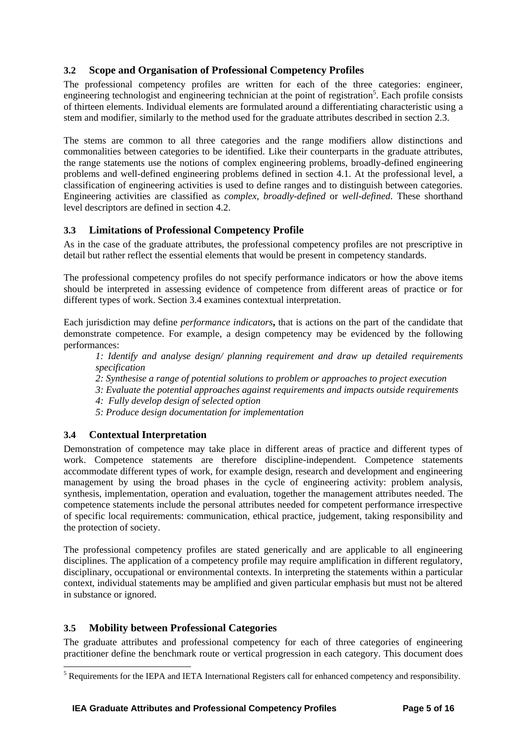### **3.2 Scope and Organisation of Professional Competency Profiles**

The professional competency profiles are written for each of the three categories: engineer, engineering technologist and engineering technician at the point of registration<sup>5</sup>. Each profile consists of thirteen elements. Individual elements are formulated around a differentiating characteristic using a stem and modifier, similarly to the method used for the graduate attributes described in section 2.3.

The stems are common to all three categories and the range modifiers allow distinctions and commonalities between categories to be identified. Like their counterparts in the graduate attributes, the range statements use the notions of complex engineering problems, broadly-defined engineering problems and well-defined engineering problems defined in section 4.1. At the professional level, a classification of engineering activities is used to define ranges and to distinguish between categories. Engineering activities are classified as *complex*, *broadly-defined* or *well-defined*. These shorthand level descriptors are defined in section 4.2.

#### **3.3 Limitations of Professional Competency Profile**

As in the case of the graduate attributes, the professional competency profiles are not prescriptive in detail but rather reflect the essential elements that would be present in competency standards.

The professional competency profiles do not specify performance indicators or how the above items should be interpreted in assessing evidence of competence from different areas of practice or for different types of work. Section 3.4 examines contextual interpretation.

Each jurisdiction may define *performance indicators***,** that is actions on the part of the candidate that demonstrate competence. For example, a design competency may be evidenced by the following performances:

*1: Identify and analyse design/ planning requirement and draw up detailed requirements specification*

- *2: Synthesise a range of potential solutions to problem or approaches to project execution*
- *3: Evaluate the potential approaches against requirements and impacts outside requirements*
- *4: Fully develop design of selected option*
- *5: Produce design documentation for implementation*

#### **3.4 Contextual Interpretation**

Demonstration of competence may take place in different areas of practice and different types of work. Competence statements are therefore discipline-independent. Competence statements accommodate different types of work, for example design, research and development and engineering management by using the broad phases in the cycle of engineering activity: problem analysis, synthesis, implementation, operation and evaluation, together the management attributes needed. The competence statements include the personal attributes needed for competent performance irrespective of specific local requirements: communication, ethical practice, judgement, taking responsibility and the protection of society.

The professional competency profiles are stated generically and are applicable to all engineering disciplines. The application of a competency profile may require amplification in different regulatory, disciplinary, occupational or environmental contexts. In interpreting the statements within a particular context, individual statements may be amplified and given particular emphasis but must not be altered in substance or ignored.

#### **3.5 Mobility between Professional Categories**

1

The graduate attributes and professional competency for each of three categories of engineering practitioner define the benchmark route or vertical progression in each category. This document does

<sup>5</sup> Requirements for the IEPA and IETA International Registers call for enhanced competency and responsibility.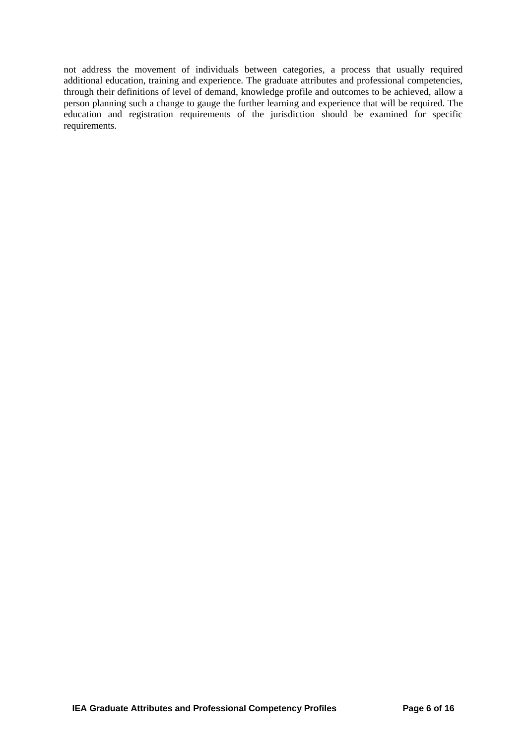not address the movement of individuals between categories, a process that usually required additional education, training and experience. The graduate attributes and professional competencies, through their definitions of level of demand, knowledge profile and outcomes to be achieved, allow a person planning such a change to gauge the further learning and experience that will be required. The education and registration requirements of the jurisdiction should be examined for specific requirements.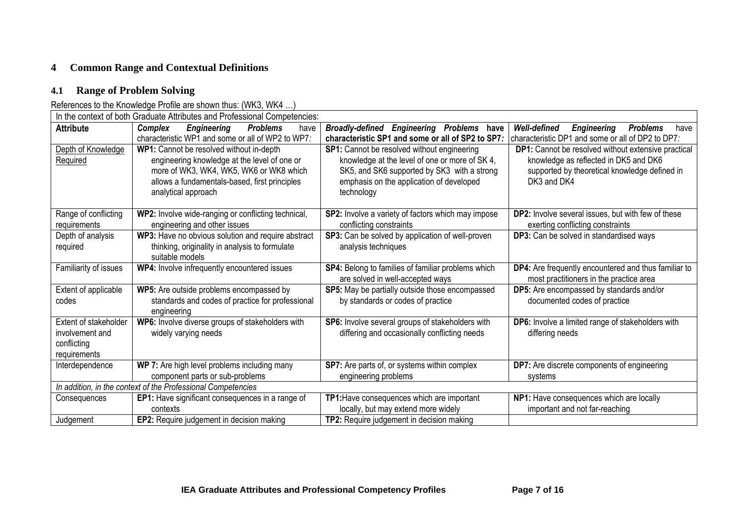# **4 Common Range and Contextual Definitions**

# **4.1 Range of Problem Solving**

# References to the Knowledge Profile are shown thus: (WK3, WK4 …)

| In the context of both Graduate Attributes and Professional Competencies: |                                                                                                                                                                                                             |                                                                                                                                                                                                        |                                                                                                                                                              |
|---------------------------------------------------------------------------|-------------------------------------------------------------------------------------------------------------------------------------------------------------------------------------------------------------|--------------------------------------------------------------------------------------------------------------------------------------------------------------------------------------------------------|--------------------------------------------------------------------------------------------------------------------------------------------------------------|
| <b>Attribute</b>                                                          | <b>Problems</b><br>Complex<br><b>Engineering</b><br>have<br>characteristic WP1 and some or all of WP2 to WP7.                                                                                               | Broadly-defined Engineering Problems have<br>characteristic SP1 and some or all of SP2 to SP7:                                                                                                         | Well-defined<br><b>Engineering</b><br><b>Problems</b><br>have<br>characteristic DP1 and some or all of DP2 to DP7.                                           |
| Depth of Knowledge<br>Required                                            | WP1: Cannot be resolved without in-depth<br>engineering knowledge at the level of one or<br>more of WK3, WK4, WK5, WK6 or WK8 which<br>allows a fundamentals-based, first principles<br>analytical approach | SP1: Cannot be resolved without engineering<br>knowledge at the level of one or more of SK 4,<br>SK5, and SK6 supported by SK3 with a strong<br>emphasis on the application of developed<br>technology | DP1: Cannot be resolved without extensive practical<br>knowledge as reflected in DK5 and DK6<br>supported by theoretical knowledge defined in<br>DK3 and DK4 |
| Range of conflicting<br>requirements                                      | WP2: Involve wide-ranging or conflicting technical,<br>engineering and other issues                                                                                                                         | SP2: Involve a variety of factors which may impose<br>conflicting constraints                                                                                                                          | DP2: Involve several issues, but with few of these<br>exerting conflicting constraints                                                                       |
| Depth of analysis<br>required                                             | WP3: Have no obvious solution and require abstract<br>thinking, originality in analysis to formulate<br>suitable models                                                                                     | SP3: Can be solved by application of well-proven<br>analysis techniques                                                                                                                                | DP3: Can be solved in standardised ways                                                                                                                      |
| Familiarity of issues                                                     | WP4: Involve infrequently encountered issues                                                                                                                                                                | SP4: Belong to families of familiar problems which<br>are solved in well-accepted ways                                                                                                                 | DP4: Are frequently encountered and thus familiar to<br>most practitioners in the practice area                                                              |
| Extent of applicable<br>codes                                             | WP5: Are outside problems encompassed by<br>standards and codes of practice for professional<br>engineering                                                                                                 | SP5: May be partially outside those encompassed<br>by standards or codes of practice                                                                                                                   | DP5: Are encompassed by standards and/or<br>documented codes of practice                                                                                     |
| Extent of stakeholder<br>involvement and<br>conflicting<br>requirements   | WP6: Involve diverse groups of stakeholders with<br>widely varying needs                                                                                                                                    | SP6: Involve several groups of stakeholders with<br>differing and occasionally conflicting needs                                                                                                       | DP6: Involve a limited range of stakeholders with<br>differing needs                                                                                         |
| Interdependence                                                           | WP 7: Are high level problems including many<br>component parts or sub-problems                                                                                                                             | SP7: Are parts of, or systems within complex<br>engineering problems                                                                                                                                   | <b>DP7:</b> Are discrete components of engineering<br>systems                                                                                                |
| In addition, in the context of the Professional Competencies              |                                                                                                                                                                                                             |                                                                                                                                                                                                        |                                                                                                                                                              |
| Consequences                                                              | <b>EP1:</b> Have significant consequences in a range of<br>contexts                                                                                                                                         | TP1: Have consequences which are important<br>locally, but may extend more widely                                                                                                                      | NP1: Have consequences which are locally<br>important and not far-reaching                                                                                   |
| Judgement                                                                 | EP2: Require judgement in decision making                                                                                                                                                                   | TP2: Require judgement in decision making                                                                                                                                                              |                                                                                                                                                              |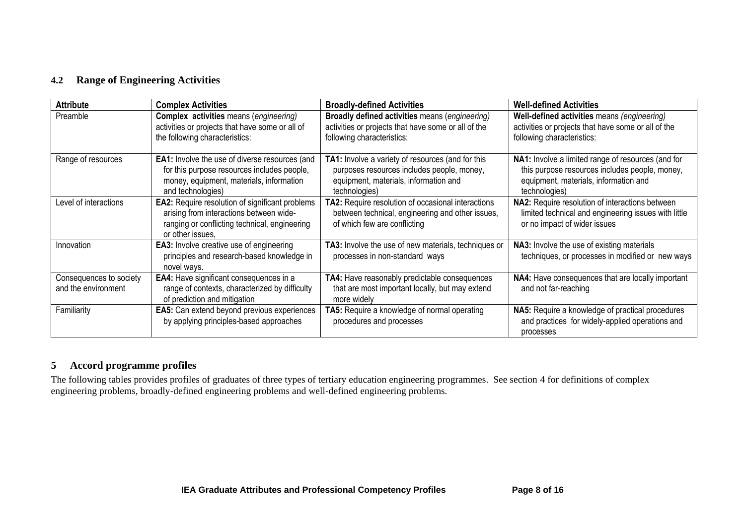## **4.2 Range of Engineering Activities**

| <b>Attribute</b>                               | <b>Complex Activities</b>                                                                                                                                              | <b>Broadly-defined Activities</b>                                                                                                                         | <b>Well-defined Activities</b>                                                                                                                                 |
|------------------------------------------------|------------------------------------------------------------------------------------------------------------------------------------------------------------------------|-----------------------------------------------------------------------------------------------------------------------------------------------------------|----------------------------------------------------------------------------------------------------------------------------------------------------------------|
| Preamble                                       | <b>Complex activities means (engineering)</b><br>activities or projects that have some or all of<br>the following characteristics:                                     | Broadly defined activities means (engineering)<br>activities or projects that have some or all of the<br>following characteristics:                       | Well-defined activities means (engineering)<br>activities or projects that have some or all of the<br>following characteristics:                               |
| Range of resources                             | <b>EA1:</b> Involve the use of diverse resources (and<br>for this purpose resources includes people,<br>money, equipment, materials, information<br>and technologies)  | TA1: Involve a variety of resources (and for this<br>purposes resources includes people, money,<br>equipment, materials, information and<br>technologies) | NA1: Involve a limited range of resources (and for<br>this purpose resources includes people, money,<br>equipment, materials, information and<br>technologies) |
| Level of interactions                          | <b>EA2:</b> Require resolution of significant problems<br>arising from interactions between wide-<br>ranging or conflicting technical, engineering<br>or other issues. | TA2: Require resolution of occasional interactions<br>between technical, engineering and other issues,<br>of which few are conflicting                    | NA2: Require resolution of interactions between<br>limited technical and engineering issues with little<br>or no impact of wider issues                        |
| Innovation                                     | <b>EA3:</b> Involve creative use of engineering<br>principles and research-based knowledge in<br>novel ways.                                                           | TA3: Involve the use of new materials, techniques or<br>processes in non-standard ways                                                                    | NA3: Involve the use of existing materials<br>techniques, or processes in modified or new ways                                                                 |
| Consequences to society<br>and the environment | <b>EA4:</b> Have significant consequences in a<br>range of contexts, characterized by difficulty<br>of prediction and mitigation                                       | TA4: Have reasonably predictable consequences<br>that are most important locally, but may extend<br>more widely                                           | NA4: Have consequences that are locally important<br>and not far-reaching                                                                                      |
| Familiarity                                    | <b>EA5:</b> Can extend beyond previous experiences<br>by applying principles-based approaches                                                                          | TA5: Require a knowledge of normal operating<br>procedures and processes                                                                                  | NA5: Require a knowledge of practical procedures<br>and practices for widely-applied operations and<br>processes                                               |

# **5 Accord programme profiles**

The following tables provides profiles of graduates of three types of tertiary education engineering programmes. See section 4 for definitions of complex engineering problems, broadly-defined engineering problems and well-defined engineering problems.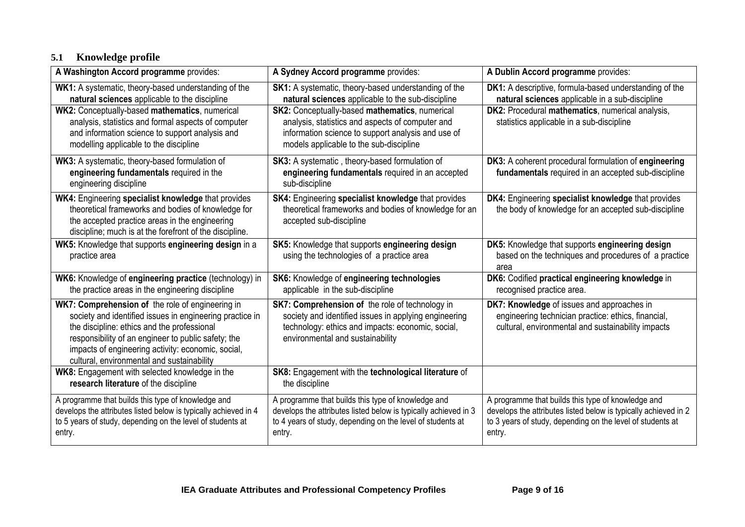# **5.1 Knowledge profile**

| A Washington Accord programme provides:                                                                                                                                                                                                                                                                                | A Sydney Accord programme provides:                                                                                                                                                                      | A Dublin Accord programme provides:                                                                                                                                                           |
|------------------------------------------------------------------------------------------------------------------------------------------------------------------------------------------------------------------------------------------------------------------------------------------------------------------------|----------------------------------------------------------------------------------------------------------------------------------------------------------------------------------------------------------|-----------------------------------------------------------------------------------------------------------------------------------------------------------------------------------------------|
| WK1: A systematic, theory-based understanding of the<br>natural sciences applicable to the discipline                                                                                                                                                                                                                  | SK1: A systematic, theory-based understanding of the<br>natural sciences applicable to the sub-discipline                                                                                                | <b>DK1:</b> A descriptive, formula-based understanding of the<br>natural sciences applicable in a sub-discipline                                                                              |
| WK2: Conceptually-based mathematics, numerical<br>analysis, statistics and formal aspects of computer<br>and information science to support analysis and<br>modelling applicable to the discipline                                                                                                                     | SK2: Conceptually-based mathematics, numerical<br>analysis, statistics and aspects of computer and<br>information science to support analysis and use of<br>models applicable to the sub-discipline      | DK2: Procedural mathematics, numerical analysis,<br>statistics applicable in a sub-discipline                                                                                                 |
| WK3: A systematic, theory-based formulation of<br>engineering fundamentals required in the<br>engineering discipline                                                                                                                                                                                                   | SK3: A systematic, theory-based formulation of<br>engineering fundamentals required in an accepted<br>sub-discipline                                                                                     | DK3: A coherent procedural formulation of engineering<br>fundamentals required in an accepted sub-discipline                                                                                  |
| WK4: Engineering specialist knowledge that provides<br>theoretical frameworks and bodies of knowledge for<br>the accepted practice areas in the engineering<br>discipline; much is at the forefront of the discipline.                                                                                                 | SK4: Engineering specialist knowledge that provides<br>theoretical frameworks and bodies of knowledge for an<br>accepted sub-discipline                                                                  | DK4: Engineering specialist knowledge that provides<br>the body of knowledge for an accepted sub-discipline                                                                                   |
| WK5: Knowledge that supports engineering design in a<br>practice area                                                                                                                                                                                                                                                  | SK5: Knowledge that supports engineering design<br>using the technologies of a practice area                                                                                                             | DK5: Knowledge that supports engineering design<br>based on the techniques and procedures of a practice<br>area                                                                               |
| WK6: Knowledge of engineering practice (technology) in<br>the practice areas in the engineering discipline                                                                                                                                                                                                             | SK6: Knowledge of engineering technologies<br>applicable in the sub-discipline                                                                                                                           | DK6: Codified practical engineering knowledge in<br>recognised practice area.                                                                                                                 |
| WK7: Comprehension of the role of engineering in<br>society and identified issues in engineering practice in<br>the discipline: ethics and the professional<br>responsibility of an engineer to public safety; the<br>impacts of engineering activity: economic, social,<br>cultural, environmental and sustainability | <b>SK7: Comprehension of the role of technology in</b><br>society and identified issues in applying engineering<br>technology: ethics and impacts: economic, social,<br>environmental and sustainability | DK7: Knowledge of issues and approaches in<br>engineering technician practice: ethics, financial,<br>cultural, environmental and sustainability impacts                                       |
| WK8: Engagement with selected knowledge in the<br>research literature of the discipline                                                                                                                                                                                                                                | SK8: Engagement with the technological literature of<br>the discipline                                                                                                                                   |                                                                                                                                                                                               |
| A programme that builds this type of knowledge and<br>develops the attributes listed below is typically achieved in 4<br>to 5 years of study, depending on the level of students at<br>entry.                                                                                                                          | A programme that builds this type of knowledge and<br>develops the attributes listed below is typically achieved in 3<br>to 4 years of study, depending on the level of students at<br>entry.            | A programme that builds this type of knowledge and<br>develops the attributes listed below is typically achieved in 2<br>to 3 years of study, depending on the level of students at<br>entry. |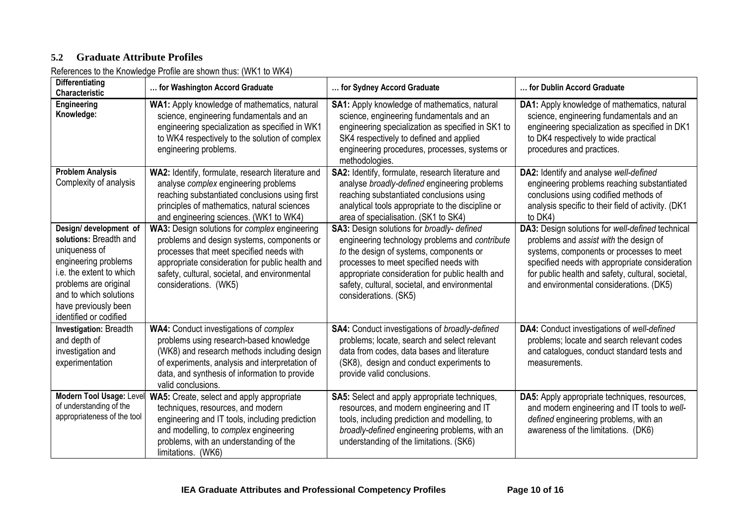# **5.2 Graduate Attribute Profiles**

References to the Knowledge Profile are shown thus: (WK1 to WK4)

| <b>Differentiating</b><br>Characteristic                                                                                                                                                                                   | for Washington Accord Graduate                                                                                                                                                                                                                                       | for Sydney Accord Graduate                                                                                                                                                                                                                                                                                            | for Dublin Accord Graduate                                                                                                                                                                                                                                                               |
|----------------------------------------------------------------------------------------------------------------------------------------------------------------------------------------------------------------------------|----------------------------------------------------------------------------------------------------------------------------------------------------------------------------------------------------------------------------------------------------------------------|-----------------------------------------------------------------------------------------------------------------------------------------------------------------------------------------------------------------------------------------------------------------------------------------------------------------------|------------------------------------------------------------------------------------------------------------------------------------------------------------------------------------------------------------------------------------------------------------------------------------------|
| Engineering<br>Knowledge:                                                                                                                                                                                                  | WA1: Apply knowledge of mathematics, natural<br>science, engineering fundamentals and an<br>engineering specialization as specified in WK1<br>to WK4 respectively to the solution of complex<br>engineering problems.                                                | SA1: Apply knowledge of mathematics, natural<br>science, engineering fundamentals and an<br>engineering specialization as specified in SK1 to<br>SK4 respectively to defined and applied<br>engineering procedures, processes, systems or<br>methodologies.                                                           | DA1: Apply knowledge of mathematics, natural<br>science, engineering fundamentals and an<br>engineering specialization as specified in DK1<br>to DK4 respectively to wide practical<br>procedures and practices.                                                                         |
| <b>Problem Analysis</b><br>Complexity of analysis                                                                                                                                                                          | WA2: Identify, formulate, research literature and<br>analyse complex engineering problems<br>reaching substantiated conclusions using first<br>principles of mathematics, natural sciences<br>and engineering sciences. (WK1 to WK4)                                 | SA2: Identify, formulate, research literature and<br>analyse broadly-defined engineering problems<br>reaching substantiated conclusions using<br>analytical tools appropriate to the discipline or<br>area of specialisation. (SK1 to SK4)                                                                            | DA2: Identify and analyse well-defined<br>engineering problems reaching substantiated<br>conclusions using codified methods of<br>analysis specific to their field of activity. (DK1<br>to DK4)                                                                                          |
| Design/ development of<br>solutions: Breadth and<br>uniqueness of<br>engineering problems<br>i.e. the extent to which<br>problems are original<br>and to which solutions<br>have previously been<br>identified or codified | WA3: Design solutions for complex engineering<br>problems and design systems, components or<br>processes that meet specified needs with<br>appropriate consideration for public health and<br>safety, cultural, societal, and environmental<br>considerations. (WK5) | <b>SA3:</b> Design solutions for broadly- defined<br>engineering technology problems and contribute<br>to the design of systems, components or<br>processes to meet specified needs with<br>appropriate consideration for public health and<br>safety, cultural, societal, and environmental<br>considerations. (SK5) | DA3: Design solutions for well-defined technical<br>problems and assist with the design of<br>systems, components or processes to meet<br>specified needs with appropriate consideration<br>for public health and safety, cultural, societal,<br>and environmental considerations. (DK5) |
| Investigation: Breadth<br>and depth of<br>investigation and<br>experimentation                                                                                                                                             | <b>WA4: Conduct investigations of complex</b><br>problems using research-based knowledge<br>(WK8) and research methods including design<br>of experiments, analysis and interpretation of<br>data, and synthesis of information to provide<br>valid conclusions.     | <b>SA4:</b> Conduct investigations of broadly-defined<br>problems; locate, search and select relevant<br>data from codes, data bases and literature<br>(SK8), design and conduct experiments to<br>provide valid conclusions.                                                                                         | DA4: Conduct investigations of well-defined<br>problems; locate and search relevant codes<br>and catalogues, conduct standard tests and<br>measurements.                                                                                                                                 |
| Modern Tool Usage: Level<br>of understanding of the<br>appropriateness of the tool                                                                                                                                         | WA5: Create, select and apply appropriate<br>techniques, resources, and modern<br>engineering and IT tools, including prediction<br>and modelling, to complex engineering<br>problems, with an understanding of the<br>limitations. (WK6)                            | <b>SA5:</b> Select and apply appropriate techniques,<br>resources, and modern engineering and IT<br>tools, including prediction and modelling, to<br>broadly-defined engineering problems, with an<br>understanding of the limitations. (SK6)                                                                         | DA5: Apply appropriate techniques, resources,<br>and modern engineering and IT tools to well-<br>defined engineering problems, with an<br>awareness of the limitations. (DK6)                                                                                                            |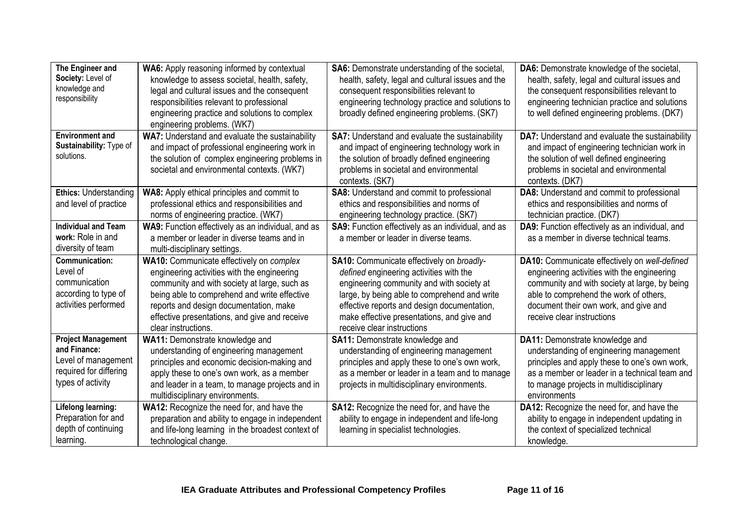| The Engineer and                 | WA6: Apply reasoning informed by contextual        | SA6: Demonstrate understanding of the societal,        | DA6: Demonstrate knowledge of the societal,     |
|----------------------------------|----------------------------------------------------|--------------------------------------------------------|-------------------------------------------------|
| Society: Level of                | knowledge to assess societal, health, safety,      | health, safety, legal and cultural issues and the      | health, safety, legal and cultural issues and   |
| knowledge and                    | legal and cultural issues and the consequent       | consequent responsibilities relevant to                | the consequent responsibilities relevant to     |
| responsibility                   | responsibilities relevant to professional          | engineering technology practice and solutions to       | engineering technician practice and solutions   |
|                                  | engineering practice and solutions to complex      | broadly defined engineering problems. (SK7)            | to well defined engineering problems. (DK7)     |
|                                  | engineering problems. (WK7)                        |                                                        |                                                 |
| <b>Environment and</b>           | WA7: Understand and evaluate the sustainability    | <b>SA7:</b> Understand and evaluate the sustainability | DA7: Understand and evaluate the sustainability |
| Sustainability: Type of          | and impact of professional engineering work in     | and impact of engineering technology work in           | and impact of engineering technician work in    |
| solutions.                       | the solution of complex engineering problems in    | the solution of broadly defined engineering            | the solution of well defined engineering        |
|                                  | societal and environmental contexts. (WK7)         | problems in societal and environmental                 | problems in societal and environmental          |
|                                  |                                                    | contexts. (SK7)                                        | contexts. (DK7)                                 |
| <b>Ethics: Understanding</b>     | WA8: Apply ethical principles and commit to        | SA8: Understand and commit to professional             | DA8: Understand and commit to professional      |
| and level of practice            | professional ethics and responsibilities and       | ethics and responsibilities and norms of               | ethics and responsibilities and norms of        |
|                                  | norms of engineering practice. (WK7)               | engineering technology practice. (SK7)                 | technician practice. (DK7)                      |
| <b>Individual and Team</b>       | WA9: Function effectively as an individual, and as | SA9: Function effectively as an individual, and as     | DA9: Function effectively as an individual, and |
| work: Role in and                | a member or leader in diverse teams and in         | a member or leader in diverse teams.                   | as a member in diverse technical teams.         |
| diversity of team                | multi-disciplinary settings.                       |                                                        |                                                 |
| <b>Communication:</b>            | WA10: Communicate effectively on complex           | SA10: Communicate effectively on broadly-              | DA10: Communicate effectively on well-defined   |
| Level of                         | engineering activities with the engineering        | defined engineering activities with the                | engineering activities with the engineering     |
| communication                    | community and with society at large, such as       | engineering community and with society at              | community and with society at large, by being   |
| according to type of             | being able to comprehend and write effective       | large, by being able to comprehend and write           | able to comprehend the work of others,          |
| activities performed             | reports and design documentation, make             | effective reports and design documentation,            | document their own work, and give and           |
|                                  | effective presentations, and give and receive      | make effective presentations, and give and             | receive clear instructions                      |
|                                  | clear instructions.                                | receive clear instructions                             |                                                 |
| <b>Project Management</b>        | WA11: Demonstrate knowledge and                    | <b>SA11:</b> Demonstrate knowledge and                 | DA11: Demonstrate knowledge and                 |
| and Finance:                     | understanding of engineering management            | understanding of engineering management                | understanding of engineering management         |
| Level of management              | principles and economic decision-making and        | principles and apply these to one's own work,          | principles and apply these to one's own work,   |
| required for differing           | apply these to one's own work, as a member         | as a member or leader in a team and to manage          | as a member or leader in a technical team and   |
| types of activity                | and leader in a team, to manage projects and in    | projects in multidisciplinary environments.            | to manage projects in multidisciplinary         |
|                                  | multidisciplinary environments.                    |                                                        | environments                                    |
| <b>Lifelong learning:</b>        | WA12: Recognize the need for, and have the         | SA12: Recognize the need for, and have the             | DA12: Recognize the need for, and have the      |
| Preparation for and              | preparation and ability to engage in independent   | ability to engage in independent and life-long         | ability to engage in independent updating in    |
|                                  |                                                    |                                                        |                                                 |
| depth of continuing<br>learning. | and life-long learning in the broadest context of  | learning in specialist technologies.                   | the context of specialized technical            |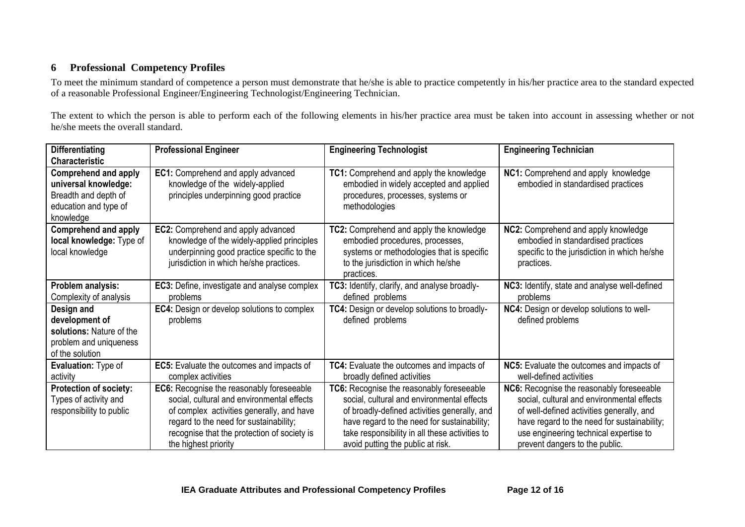# **6 Professional Competency Profiles**

To meet the minimum standard of competence a person must demonstrate that he/she is able to practice competently in his/her practice area to the standard expected of a reasonable Professional Engineer/Engineering Technologist/Engineering Technician.

The extent to which the person is able to perform each of the following elements in his/her practice area must be taken into account in assessing whether or not he/she meets the overall standard.

| <b>Differentiating</b>                                                                                                                     | <b>Professional Engineer</b>                                                                                                                                                                                                                          | <b>Engineering Technologist</b>                                                                                                                                                                                                                                               | <b>Engineering Technician</b>                                                                                                                                                                                                                                   |
|--------------------------------------------------------------------------------------------------------------------------------------------|-------------------------------------------------------------------------------------------------------------------------------------------------------------------------------------------------------------------------------------------------------|-------------------------------------------------------------------------------------------------------------------------------------------------------------------------------------------------------------------------------------------------------------------------------|-----------------------------------------------------------------------------------------------------------------------------------------------------------------------------------------------------------------------------------------------------------------|
| <b>Characteristic</b><br><b>Comprehend and apply</b><br>universal knowledge:<br>Breadth and depth of<br>education and type of<br>knowledge | EC1: Comprehend and apply advanced<br>knowledge of the widely-applied<br>principles underpinning good practice                                                                                                                                        | TC1: Comprehend and apply the knowledge<br>embodied in widely accepted and applied<br>procedures, processes, systems or<br>methodologies                                                                                                                                      | NC1: Comprehend and apply knowledge<br>embodied in standardised practices                                                                                                                                                                                       |
| <b>Comprehend and apply</b><br>local knowledge: Type of<br>local knowledge                                                                 | EC2: Comprehend and apply advanced<br>knowledge of the widely-applied principles<br>underpinning good practice specific to the<br>jurisdiction in which he/she practices.                                                                             | TC2: Comprehend and apply the knowledge<br>embodied procedures, processes,<br>systems or methodologies that is specific<br>to the jurisdiction in which he/she<br>practices.                                                                                                  | NC2: Comprehend and apply knowledge<br>embodied in standardised practices<br>specific to the jurisdiction in which he/she<br>practices.                                                                                                                         |
| Problem analysis:<br>Complexity of analysis                                                                                                | <b>EC3:</b> Define, investigate and analyse complex<br>problems                                                                                                                                                                                       | TC3: Identify, clarify, and analyse broadly-<br>defined problems                                                                                                                                                                                                              | NC3: Identify, state and analyse well-defined<br>problems                                                                                                                                                                                                       |
| Design and<br>development of<br>solutions: Nature of the<br>problem and uniqueness<br>of the solution                                      | <b>EC4:</b> Design or develop solutions to complex<br>problems                                                                                                                                                                                        | TC4: Design or develop solutions to broadly-<br>defined problems                                                                                                                                                                                                              | NC4: Design or develop solutions to well-<br>defined problems                                                                                                                                                                                                   |
| Evaluation: Type of<br>activity                                                                                                            | EC5: Evaluate the outcomes and impacts of<br>complex activities                                                                                                                                                                                       | TC4: Evaluate the outcomes and impacts of<br>broadly defined activities                                                                                                                                                                                                       | NC5: Evaluate the outcomes and impacts of<br>well-defined activities                                                                                                                                                                                            |
| <b>Protection of society:</b><br>Types of activity and<br>responsibility to public                                                         | EC6: Recognise the reasonably foreseeable<br>social, cultural and environmental effects<br>of complex activities generally, and have<br>regard to the need for sustainability;<br>recognise that the protection of society is<br>the highest priority | TC6: Recognise the reasonably foreseeable<br>social, cultural and environmental effects<br>of broadly-defined activities generally, and<br>have regard to the need for sustainability;<br>take responsibility in all these activities to<br>avoid putting the public at risk. | NC6: Recognise the reasonably foreseeable<br>social, cultural and environmental effects<br>of well-defined activities generally, and<br>have regard to the need for sustainability;<br>use engineering technical expertise to<br>prevent dangers to the public. |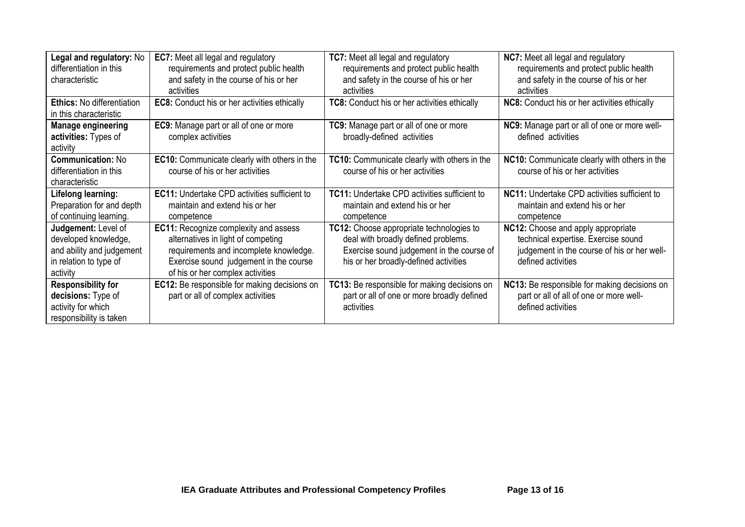| Legal and regulatory: No          | <b>EC7:</b> Meet all legal and regulatory           | <b>TC7:</b> Meet all legal and regulatory           | <b>NC7:</b> Meet all legal and regulatory    |
|-----------------------------------|-----------------------------------------------------|-----------------------------------------------------|----------------------------------------------|
| differentiation in this           | requirements and protect public health              | requirements and protect public health              | requirements and protect public health       |
| characteristic                    | and safety in the course of his or her              | and safety in the course of his or her              | and safety in the course of his or her       |
|                                   | activities                                          | activities                                          | activities                                   |
| <b>Ethics: No differentiation</b> | <b>EC8:</b> Conduct his or her activities ethically | <b>TC8:</b> Conduct his or her activities ethically | NC8: Conduct his or her activities ethically |
| in this characteristic            |                                                     |                                                     |                                              |
| <b>Manage engineering</b>         | EC9: Manage part or all of one or more              | TC9: Manage part or all of one or more              | NC9: Manage part or all of one or more well- |
| activities: Types of              | complex activities                                  | broadly-defined activities                          | defined activities                           |
| activity                          |                                                     |                                                     |                                              |
| <b>Communication: No</b>          | <b>EC10:</b> Communicate clearly with others in the | TC10: Communicate clearly with others in the        | NC10: Communicate clearly with others in the |
| differentiation in this           | course of his or her activities                     | course of his or her activities                     | course of his or her activities              |
| characteristic                    |                                                     |                                                     |                                              |
| Lifelong learning:                | <b>EC11:</b> Undertake CPD activities sufficient to | <b>TC11: Undertake CPD activities sufficient to</b> | NC11: Undertake CPD activities sufficient to |
| Preparation for and depth         | maintain and extend his or her                      | maintain and extend his or her                      | maintain and extend his or her               |
| of continuing learning.           | competence                                          | competence                                          | competence                                   |
| Judgement: Level of               | <b>EC11:</b> Recognize complexity and assess        | TC12: Choose appropriate technologies to            | NC12: Choose and apply appropriate           |
| developed knowledge,              | alternatives in light of competing                  | deal with broadly defined problems.                 | technical expertise. Exercise sound          |
| and ability and judgement         | requirements and incomplete knowledge.              | Exercise sound judgement in the course of           | judgement in the course of his or her well-  |
| in relation to type of            | Exercise sound judgement in the course              | his or her broadly-defined activities               | defined activities                           |
| activity                          | of his or her complex activities                    |                                                     |                                              |
| <b>Responsibility for</b>         | <b>EC12:</b> Be responsible for making decisions on | TC13: Be responsible for making decisions on        | NC13: Be responsible for making decisions on |
| decisions: Type of                | part or all of complex activities                   | part or all of one or more broadly defined          | part or all of all of one or more well-      |
| activity for which                |                                                     | activities                                          | defined activities                           |
| responsibility is taken           |                                                     |                                                     |                                              |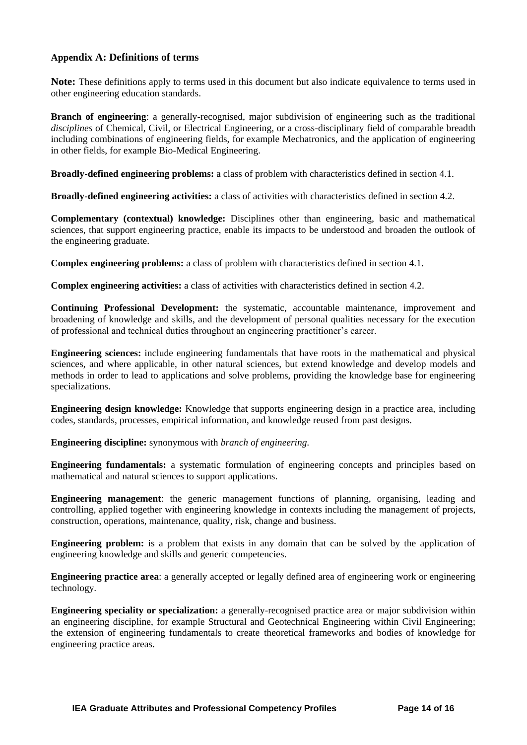#### **Appendix A: Definitions of terms**

**Note:** These definitions apply to terms used in this document but also indicate equivalence to terms used in other engineering education standards.

**Branch of engineering**: a generally-recognised, major subdivision of engineering such as the traditional *disciplines* of Chemical, Civil, or Electrical Engineering, or a cross-disciplinary field of comparable breadth including combinations of engineering fields, for example Mechatronics, and the application of engineering in other fields, for example Bio-Medical Engineering.

**Broadly-defined engineering problems:** a class of problem with characteristics defined in section 4.1.

**Broadly-defined engineering activities:** a class of activities with characteristics defined in section 4.2.

**Complementary (contextual) knowledge:** Disciplines other than engineering, basic and mathematical sciences, that support engineering practice, enable its impacts to be understood and broaden the outlook of the engineering graduate.

**Complex engineering problems:** a class of problem with characteristics defined in section 4.1.

**Complex engineering activities:** a class of activities with characteristics defined in section 4.2.

**Continuing Professional Development:** the systematic, accountable maintenance, improvement and broadening of knowledge and skills, and the development of personal qualities necessary for the execution of professional and technical duties throughout an engineering practitioner's career.

**Engineering sciences:** include engineering fundamentals that have roots in the mathematical and physical sciences, and where applicable, in other natural sciences, but extend knowledge and develop models and methods in order to lead to applications and solve problems, providing the knowledge base for engineering specializations.

**Engineering design knowledge:** Knowledge that supports engineering design in a practice area, including codes, standards, processes, empirical information, and knowledge reused from past designs.

**Engineering discipline:** synonymous with *branch of engineering.*

**Engineering fundamentals:** a systematic formulation of engineering concepts and principles based on mathematical and natural sciences to support applications.

**Engineering management**: the generic management functions of planning, organising, leading and controlling, applied together with engineering knowledge in contexts including the management of projects, construction, operations, maintenance, quality, risk, change and business.

**Engineering problem:** is a problem that exists in any domain that can be solved by the application of engineering knowledge and skills and generic competencies.

**Engineering practice area**: a generally accepted or legally defined area of engineering work or engineering technology*.*

**Engineering speciality or specialization:** a generally-recognised practice area or major subdivision within an engineering discipline, for example Structural and Geotechnical Engineering within Civil Engineering; the extension of engineering fundamentals to create theoretical frameworks and bodies of knowledge for engineering practice areas.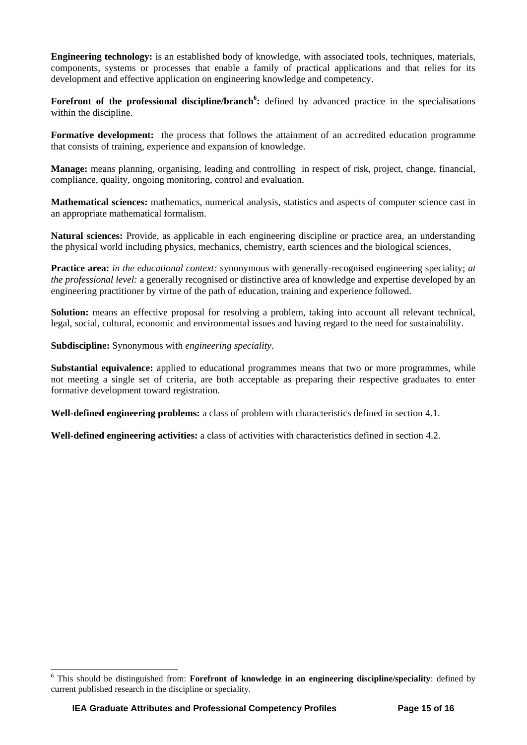**Engineering technology:** is an established body of knowledge, with associated tools, techniques, materials, components, systems or processes that enable a family of practical applications and that relies for its development and effective application on engineering knowledge and competency.

Forefront of the professional discipline/branch<sup>6</sup>: defined by advanced practice in the specialisations within the discipline.

**Formative development:** the process that follows the attainment of an accredited education programme that consists of training, experience and expansion of knowledge.

**Manage:** means planning, organising, leading and controlling in respect of risk, project, change, financial, compliance, quality, ongoing monitoring, control and evaluation.

**Mathematical sciences:** mathematics, numerical analysis, statistics and aspects of computer science cast in an appropriate mathematical formalism.

**Natural sciences:** Provide, as applicable in each engineering discipline or practice area, an understanding the physical world including physics, mechanics, chemistry, earth sciences and the biological sciences,

**Practice area:** *in the educational context:* synonymous with generally-recognised engineering speciality; *at the professional level:* a generally recognised or distinctive area of knowledge and expertise developed by an engineering practitioner by virtue of the path of education, training and experience followed.

**Solution:** means an effective proposal for resolving a problem, taking into account all relevant technical, legal, social, cultural, economic and environmental issues and having regard to the need for sustainability.

**Subdiscipline:** Synonymous with *engineering speciality*.

**Substantial equivalence:** applied to educational programmes means that two or more programmes, while not meeting a single set of criteria, are both acceptable as preparing their respective graduates to enter formative development toward registration.

**Well-defined engineering problems:** a class of problem with characteristics defined in section 4.1.

**Well-defined engineering activities:** a class of activities with characteristics defined in section 4.2.

l

<sup>6</sup> This should be distinguished from: **Forefront of knowledge in an engineering discipline/speciality**: defined by current published research in the discipline or speciality.